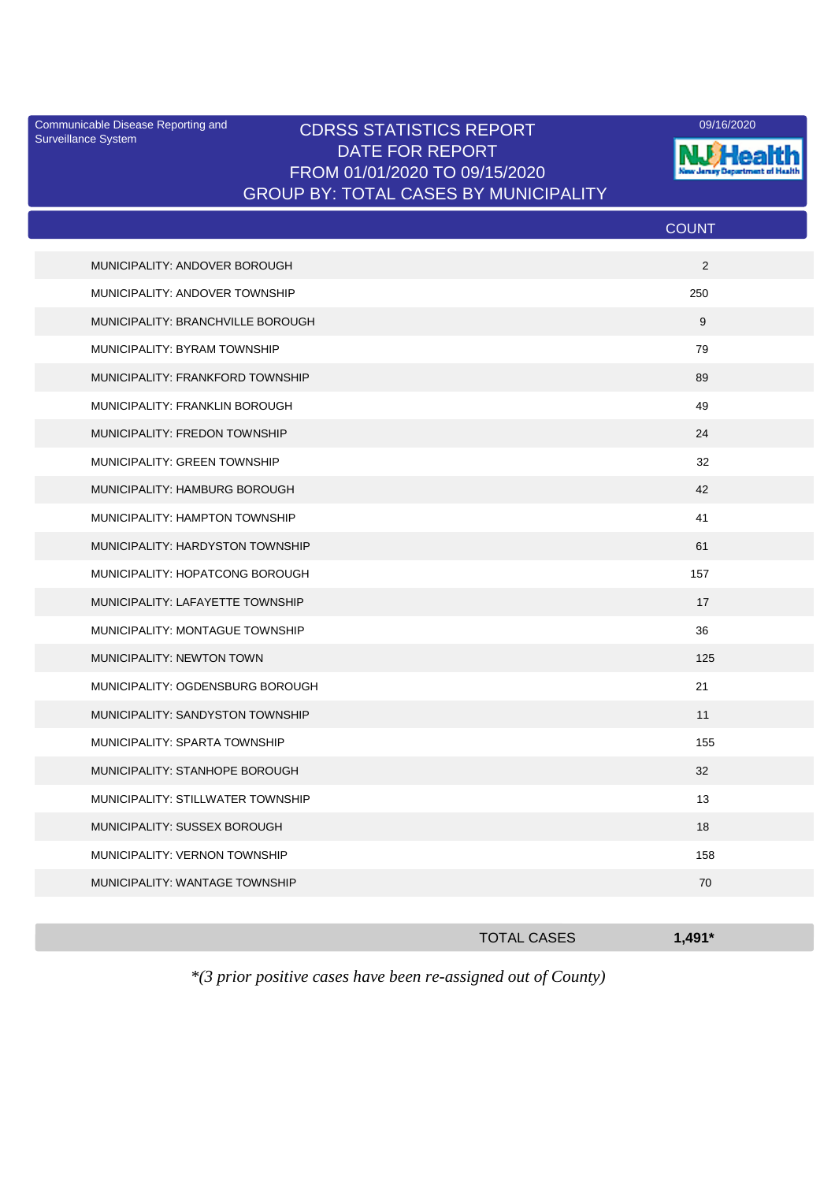Surveillance System

## Communicable Disease Reporting and CDRSS STATISTICS REPORT 09/16/2020<br>Surveillance System CDRSS STATISTICS REPORT DATE FOR REPORT FROM 01/01/2020 TO 09/15/2020 GROUP BY: TOTAL CASES BY MUNICIPALITY



|                                   | <b>COUNT</b> |
|-----------------------------------|--------------|
| MUNICIPALITY: ANDOVER BOROUGH     | 2            |
| MUNICIPALITY: ANDOVER TOWNSHIP    | 250          |
| MUNICIPALITY: BRANCHVILLE BOROUGH | 9            |
| MUNICIPALITY: BYRAM TOWNSHIP      | 79           |
| MUNICIPALITY: FRANKFORD TOWNSHIP  | 89           |
| MUNICIPALITY: FRANKLIN BOROUGH    | 49           |
| MUNICIPALITY: FREDON TOWNSHIP     | 24           |
| MUNICIPALITY: GREEN TOWNSHIP      | 32           |
| MUNICIPALITY: HAMBURG BOROUGH     | 42           |
| MUNICIPALITY: HAMPTON TOWNSHIP    | 41           |
| MUNICIPALITY: HARDYSTON TOWNSHIP  | 61           |
| MUNICIPALITY: HOPATCONG BOROUGH   | 157          |
| MUNICIPALITY: LAFAYETTE TOWNSHIP  | 17           |
| MUNICIPALITY: MONTAGUE TOWNSHIP   | 36           |
| MUNICIPALITY: NEWTON TOWN         | 125          |
| MUNICIPALITY: OGDENSBURG BOROUGH  | 21           |
| MUNICIPALITY: SANDYSTON TOWNSHIP  | 11           |
| MUNICIPALITY: SPARTA TOWNSHIP     | 155          |
| MUNICIPALITY: STANHOPE BOROUGH    | 32           |
| MUNICIPALITY: STILLWATER TOWNSHIP | 13           |
| MUNICIPALITY: SUSSEX BOROUGH      | 18           |
| MUNICIPALITY: VERNON TOWNSHIP     | 158          |
| MUNICIPALITY: WANTAGE TOWNSHIP    | 70           |
|                                   |              |

|                                                                                            | <b>TOTAL CASES</b> | $1.491*$ |
|--------------------------------------------------------------------------------------------|--------------------|----------|
| $\mathcal{R}^{(2)}$ and on positive example $h$ and he are no governed out of $C$ quester) |                    |          |

*\*(3 prior positive cases have been re-assigned out of County)*